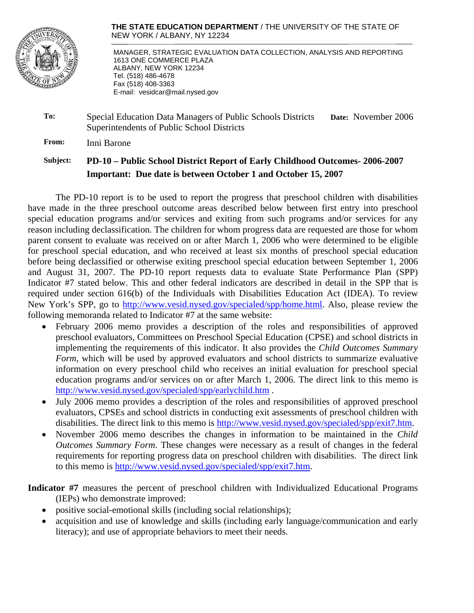

**THE STATE EDUCATION DEPARTMENT** / THE UNIVERSITY OF THE STATE OF NEW YORK / ALBANY, NY 12234

 MANAGER, STRATEGIC EVALUATION DATA COLLECTION, ANALYSIS AND REPORTING 1613 ONE COMMERCE PLAZA ALBANY, NEW YORK 12234 Tel. (518) 486-4678 Fax (518) 408-3363 E-mail: vesidcar@mail.nysed.gov

| To: | Special Education Data Managers of Public Schools Districts | Date: November 2006 |
|-----|-------------------------------------------------------------|---------------------|
|     | Superintendents of Public School Districts                  |                     |

**From:** Inni Barone

## **Subject: PD-10 – Public School District Report of Early Childhood Outcomes- 2006-2007 Important: Due date is between October 1 and October 15, 2007**

The PD-10 report is to be used to report the progress that preschool children with disabilities have made in the three preschool outcome areas described below between first entry into preschool special education programs and/or services and exiting from such programs and/or services for any reason including declassification. The children for whom progress data are requested are those for whom parent consent to evaluate was received on or after March 1, 2006 who were determined to be eligible for preschool special education, and who received at least six months of preschool special education before being declassified or otherwise exiting preschool special education between September 1, 2006 and August 31, 2007. The PD-10 report requests data to evaluate State Performance Plan (SPP) Indicator #7 stated below. This and other federal indicators are described in detail in the SPP that is required under section 616(b) of the Individuals with Disabilities Education Act (IDEA). To review New York's SPP, go to http://www.vesid.nysed.gov/specialed/spp/home.html. Also, please review the following memoranda related to Indicator #7 at the same website:

- February 2006 memo provides a description of the roles and responsibilities of approved preschool evaluators, Committees on Preschool Special Education (CPSE) and school districts in implementing the requirements of this indicator. It also provides the *Child Outcomes Summary Form*, which will be used by approved evaluators and school districts to summarize evaluative information on every preschool child who receives an initial evaluation for preschool special education programs and/or services on or after March 1, 2006. The direct link to this memo is http://www.vesid.nysed.gov/specialed/spp/earlychild.htm .
- July 2006 memo provides a description of the roles and responsibilities of approved preschool evaluators, CPSEs and school districts in conducting exit assessments of preschool children with disabilities. The direct link to this memo is http://www.vesid.nysed.gov/specialed/spp/exit7.htm.
- November 2006 memo describes the changes in information to be maintained in the *Child Outcomes Summary Form*. These changes were necessary as a result of changes in the federal requirements for reporting progress data on preschool children with disabilities. The direct link to this memo is http://www.vesid.nysed.gov/specialed/spp/exit7.htm.

### **Indicator #7** measures the percent of preschool children with Individualized Educational Programs (IEPs) who demonstrate improved:

- positive social-emotional skills (including social relationships);
- acquisition and use of knowledge and skills (including early language/communication and early literacy); and use of appropriate behaviors to meet their needs.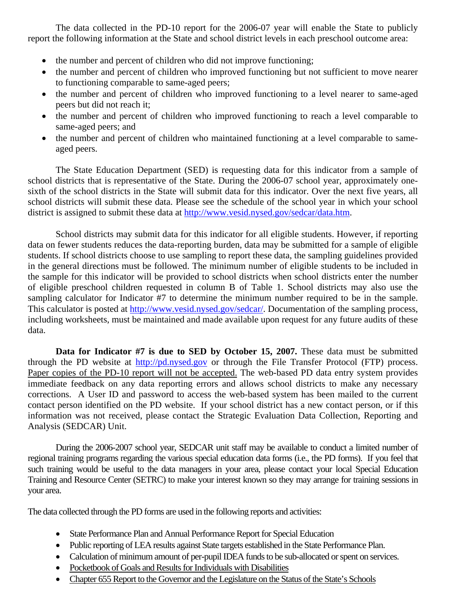The data collected in the PD-10 report for the 2006-07 year will enable the State to publicly report the following information at the State and school district levels in each preschool outcome area:

- the number and percent of children who did not improve functioning;
- the number and percent of children who improved functioning but not sufficient to move nearer to functioning comparable to same-aged peers;
- the number and percent of children who improved functioning to a level nearer to same-aged peers but did not reach it;
- the number and percent of children who improved functioning to reach a level comparable to same-aged peers; and
- the number and percent of children who maintained functioning at a level comparable to sameaged peers.

The State Education Department (SED) is requesting data for this indicator from a sample of school districts that is representative of the State. During the 2006-07 school year, approximately onesixth of the school districts in the State will submit data for this indicator. Over the next five years, all school districts will submit these data. Please see the schedule of the school year in which your school district is assigned to submit these data at http://www.vesid.nysed.gov/sedcar/data.htm.

School districts may submit data for this indicator for all eligible students. However, if reporting data on fewer students reduces the data-reporting burden, data may be submitted for a sample of eligible students. If school districts choose to use sampling to report these data, the sampling guidelines provided in the general directions must be followed. The minimum number of eligible students to be included in the sample for this indicator will be provided to school districts when school districts enter the number of eligible preschool children requested in column B of Table 1. School districts may also use the sampling calculator for Indicator #7 to determine the minimum number required to be in the sample. This calculator is posted at http://www.vesid.nysed.gov/sedcar/. Documentation of the sampling process, including worksheets, must be maintained and made available upon request for any future audits of these data.

**Data for Indicator #7 is due to SED by October 15, 2007.** These data must be submitted through the PD website at http://pd.nysed.gov or through the File Transfer Protocol (FTP) process. Paper copies of the PD-10 report will not be accepted. The web-based PD data entry system provides immediate feedback on any data reporting errors and allows school districts to make any necessary corrections. A User ID and password to access the web-based system has been mailed to the current contact person identified on the PD website. If your school district has a new contact person, or if this information was not received, please contact the Strategic Evaluation Data Collection, Reporting and Analysis (SEDCAR) Unit.

During the 2006-2007 school year, SEDCAR unit staff may be available to conduct a limited number of regional training programs regarding the various special education data forms (i.e., the PD forms). If you feel that such training would be useful to the data managers in your area, please contact your local Special Education Training and Resource Center (SETRC) to make your interest known so they may arrange for training sessions in your area.

The data collected through the PD forms are used in the following reports and activities:

- State Performance Plan and Annual Performance Report for Special Education
- Public reporting of LEA results against State targets established in the State Performance Plan.
- Calculation of minimum amount of per-pupil IDEA funds to be sub-allocated or spent on services.
- Pocketbook of Goals and Results for Individuals with Disabilities
- Chapter 655 Report to the Governor and the Legislature on the Status of the State's Schools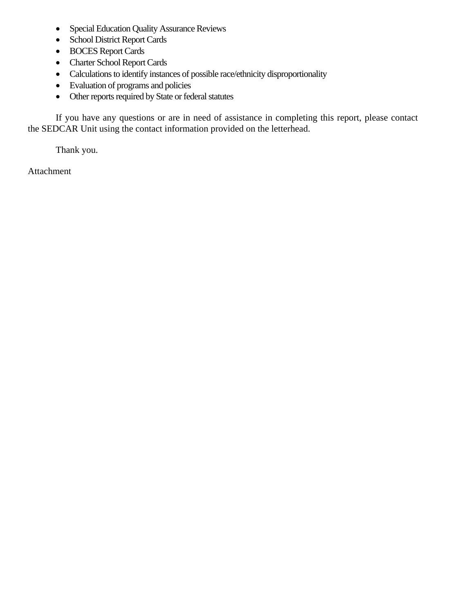- Special Education Quality Assurance Reviews
- School District Report Cards
- BOCES Report Cards
- Charter School Report Cards
- Calculations to identify instances of possible race/ethnicity disproportionality
- Evaluation of programs and policies
- Other reports required by State or federal statutes

If you have any questions or are in need of assistance in completing this report, please contact the SEDCAR Unit using the contact information provided on the letterhead.

Thank you.

Attachment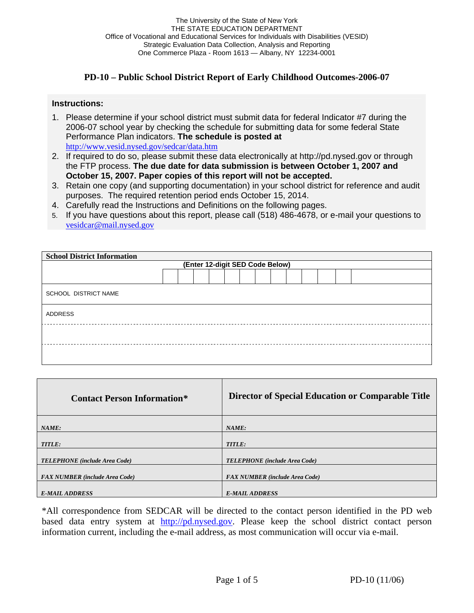### **PD-10 – Public School District Report of Early Childhood Outcomes-2006-07**

#### **Instructions:**

- 1. Please determine if your school district must submit data for federal Indicator #7 during the 2006-07 school year by checking the schedule for submitting data for some federal State Performance Plan indicators. **The schedule is posted at**  http://www.vesid.nysed.gov/sedcar/data.htm
- 2. If required to do so, please submit these data electronically at http://pd.nysed.gov or through the FTP process. **The due date for data submission is between October 1, 2007 and October 15, 2007. Paper copies of this report will not be accepted.**
- 3. Retain one copy (and supporting documentation) in your school district for reference and audit purposes. The required retention period ends October 15, 2014.
- 4. Carefully read the Instructions and Definitions on the following pages.
- 5. If you have questions about this report, please call (518) 486-4678, or e-mail your questions to vesidcar@mail.nysed.gov

| <b>School District Information</b> |  |  |  |  |  |  |  |  |  |  |  |  |  |  |
|------------------------------------|--|--|--|--|--|--|--|--|--|--|--|--|--|--|
| (Enter 12-digit SED Code Below)    |  |  |  |  |  |  |  |  |  |  |  |  |  |  |
|                                    |  |  |  |  |  |  |  |  |  |  |  |  |  |  |
| SCHOOL DISTRICT NAME               |  |  |  |  |  |  |  |  |  |  |  |  |  |  |
| ADDRESS                            |  |  |  |  |  |  |  |  |  |  |  |  |  |  |
|                                    |  |  |  |  |  |  |  |  |  |  |  |  |  |  |
|                                    |  |  |  |  |  |  |  |  |  |  |  |  |  |  |

| <b>Contact Person Information*</b>    | Director of Special Education or Comparable Title |
|---------------------------------------|---------------------------------------------------|
| NAME:                                 | NAME:                                             |
| <b>TITLE:</b>                         | <b>TITLE:</b>                                     |
| <b>TELEPHONE</b> (include Area Code)  | <b>TELEPHONE</b> (include Area Code)              |
| <b>FAX NUMBER</b> (include Area Code) | <b>FAX NUMBER</b> (include Area Code)             |
| <b>E-MAIL ADDRESS</b>                 | <b>E-MAIL ADDRESS</b>                             |

\*All correspondence from SEDCAR will be directed to the contact person identified in the PD web based data entry system at http://pd.nysed.gov. Please keep the school district contact person information current, including the e-mail address, as most communication will occur via e-mail.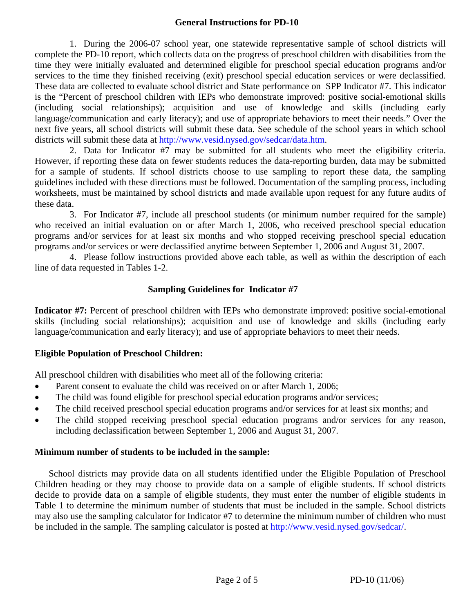#### **General Instructions for PD-10**

1. During the 2006-07 school year, one statewide representative sample of school districts will complete the PD-10 report, which collects data on the progress of preschool children with disabilities from the time they were initially evaluated and determined eligible for preschool special education programs and/or services to the time they finished receiving (exit) preschool special education services or were declassified. These data are collected to evaluate school district and State performance on SPP Indicator #7. This indicator is the "Percent of preschool children with IEPs who demonstrate improved: positive social-emotional skills (including social relationships); acquisition and use of knowledge and skills (including early language/communication and early literacy); and use of appropriate behaviors to meet their needs." Over the next five years, all school districts will submit these data. See schedule of the school years in which school districts will submit these data at http://www.vesid.nysed.gov/sedcar/data.htm.

2. Data for Indicator #7 may be submitted for all students who meet the eligibility criteria. However, if reporting these data on fewer students reduces the data-reporting burden, data may be submitted for a sample of students. If school districts choose to use sampling to report these data, the sampling guidelines included with these directions must be followed. Documentation of the sampling process, including worksheets, must be maintained by school districts and made available upon request for any future audits of these data.

3. For Indicator #7, include all preschool students (or minimum number required for the sample) who received an initial evaluation on or after March 1, 2006, who received preschool special education programs and/or services for at least six months and who stopped receiving preschool special education programs and/or services or were declassified anytime between September 1, 2006 and August 31, 2007.

4. Please follow instructions provided above each table, as well as within the description of each line of data requested in Tables 1-2.

### **Sampling Guidelines for Indicator #7**

**Indicator #7:** Percent of preschool children with IEPs who demonstrate improved: positive social-emotional skills (including social relationships); acquisition and use of knowledge and skills (including early language/communication and early literacy); and use of appropriate behaviors to meet their needs.

### **Eligible Population of Preschool Children:**

All preschool children with disabilities who meet all of the following criteria:

- Parent consent to evaluate the child was received on or after March 1, 2006;
- The child was found eligible for preschool special education programs and/or services;
- The child received preschool special education programs and/or services for at least six months; and
- The child stopped receiving preschool special education programs and/or services for any reason, including declassification between September 1, 2006 and August 31, 2007.

#### **Minimum number of students to be included in the sample:**

School districts may provide data on all students identified under the Eligible Population of Preschool Children heading or they may choose to provide data on a sample of eligible students. If school districts decide to provide data on a sample of eligible students, they must enter the number of eligible students in Table 1 to determine the minimum number of students that must be included in the sample. School districts may also use the sampling calculator for Indicator #7 to determine the minimum number of children who must be included in the sample. The sampling calculator is posted at http://www.vesid.nysed.gov/sedcar/.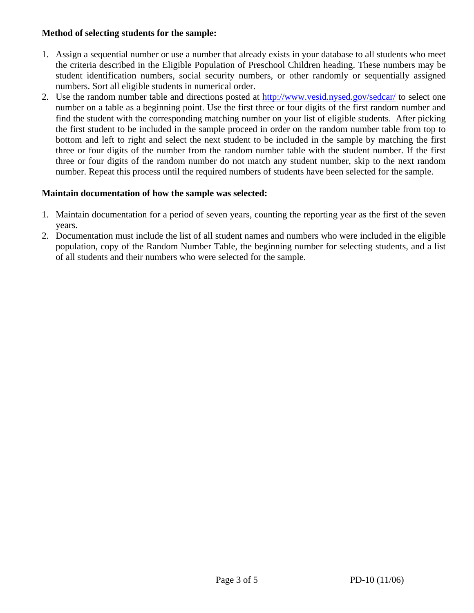#### **Method of selecting students for the sample:**

- 1. Assign a sequential number or use a number that already exists in your database to all students who meet the criteria described in the Eligible Population of Preschool Children heading. These numbers may be student identification numbers, social security numbers, or other randomly or sequentially assigned numbers. Sort all eligible students in numerical order.
- 2. Use the random number table and directions posted at http://www.vesid.nysed.gov/sedcar/ to select one number on a table as a beginning point. Use the first three or four digits of the first random number and find the student with the corresponding matching number on your list of eligible students. After picking the first student to be included in the sample proceed in order on the random number table from top to bottom and left to right and select the next student to be included in the sample by matching the first three or four digits of the number from the random number table with the student number. If the first three or four digits of the random number do not match any student number, skip to the next random number. Repeat this process until the required numbers of students have been selected for the sample.

#### **Maintain documentation of how the sample was selected:**

- 1. Maintain documentation for a period of seven years, counting the reporting year as the first of the seven years.
- 2. Documentation must include the list of all student names and numbers who were included in the eligible population, copy of the Random Number Table, the beginning number for selecting students, and a list of all students and their numbers who were selected for the sample.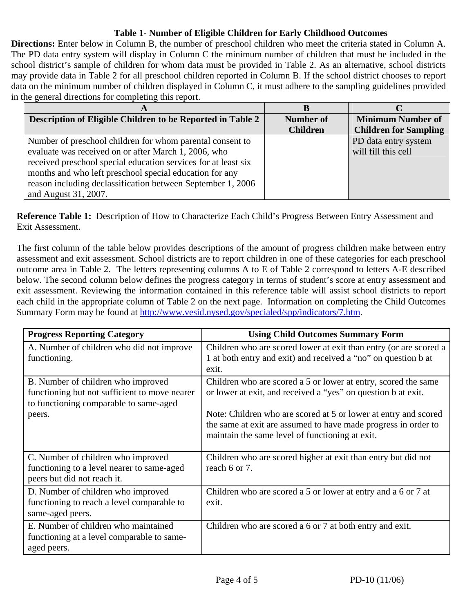## **Table 1- Number of Eligible Children for Early Childhood Outcomes**

**Directions:** Enter below in Column B, the number of preschool children who meet the criteria stated in Column A. The PD data entry system will display in Column C the minimum number of children that must be included in the school district's sample of children for whom data must be provided in Table 2. As an alternative, school districts may provide data in Table 2 for all preschool children reported in Column B. If the school district chooses to report data on the minimum number of children displayed in Column C, it must adhere to the sampling guidelines provided in the general directions for completing this report.

| Description of Eligible Children to be Reported in Table 2     | <b>Number of</b> | <b>Minimum Number of</b>     |
|----------------------------------------------------------------|------------------|------------------------------|
|                                                                | <b>Children</b>  | <b>Children for Sampling</b> |
| Number of preschool children for whom parental consent to      |                  | PD data entry system         |
| evaluate was received on or after March 1, 2006, who           |                  | will fill this cell          |
| received preschool special education services for at least six |                  |                              |
| months and who left preschool special education for any        |                  |                              |
| reason including declassification between September 1, 2006    |                  |                              |
| and August 31, 2007.                                           |                  |                              |

**Reference Table 1:** Description of How to Characterize Each Child's Progress Between Entry Assessment and Exit Assessment.

The first column of the table below provides descriptions of the amount of progress children make between entry assessment and exit assessment. School districts are to report children in one of these categories for each preschool outcome area in Table 2. The letters representing columns A to E of Table 2 correspond to letters A-E described below. The second column below defines the progress category in terms of student's score at entry assessment and exit assessment. Reviewing the information contained in this reference table will assist school districts to report each child in the appropriate column of Table 2 on the next page. Information on completing the Child Outcomes Summary Form may be found at http://www.vesid.nysed.gov/specialed/spp/indicators/7.htm.

| <b>Progress Reporting Category</b>                                                                                            | <b>Using Child Outcomes Summary Form</b>                                                                                                                                             |
|-------------------------------------------------------------------------------------------------------------------------------|--------------------------------------------------------------------------------------------------------------------------------------------------------------------------------------|
| A. Number of children who did not improve<br>functioning.                                                                     | Children who are scored lower at exit than entry (or are scored a<br>1 at both entry and exit) and received a "no" on question b at<br>exit.                                         |
| B. Number of children who improved<br>functioning but not sufficient to move nearer<br>to functioning comparable to same-aged | Children who are scored a 5 or lower at entry, scored the same<br>or lower at exit, and received a "yes" on question b at exit.                                                      |
| peers.                                                                                                                        | Note: Children who are scored at 5 or lower at entry and scored<br>the same at exit are assumed to have made progress in order to<br>maintain the same level of functioning at exit. |
| C. Number of children who improved<br>functioning to a level nearer to same-aged<br>peers but did not reach it.               | Children who are scored higher at exit than entry but did not<br>reach 6 or 7.                                                                                                       |
| D. Number of children who improved<br>functioning to reach a level comparable to<br>same-aged peers.                          | Children who are scored a 5 or lower at entry and a 6 or 7 at<br>exit.                                                                                                               |
| E. Number of children who maintained<br>functioning at a level comparable to same-<br>aged peers.                             | Children who are scored a 6 or 7 at both entry and exit.                                                                                                                             |